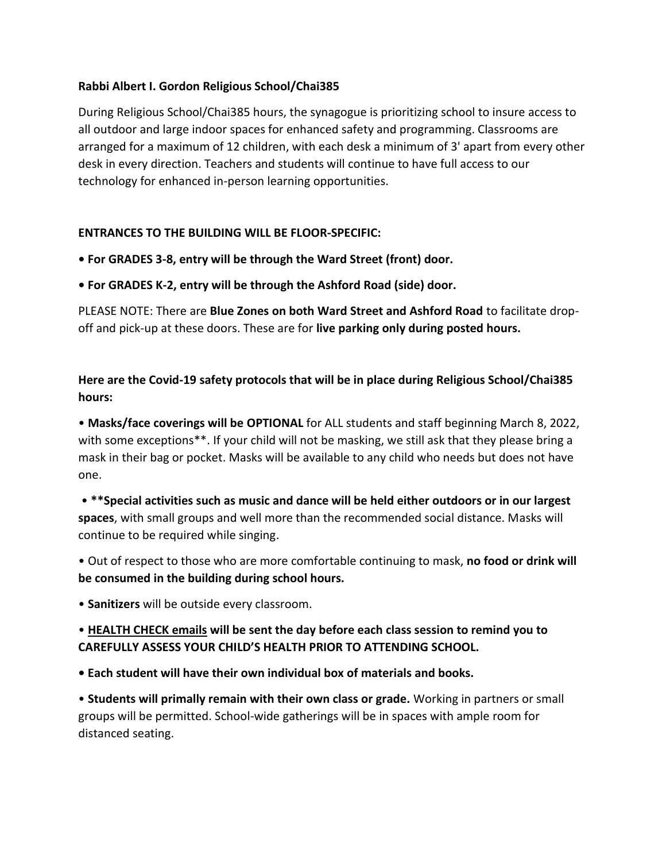## **Rabbi Albert I. Gordon Religious School/Chai385**

During Religious School/Chai385 hours, the synagogue is prioritizing school to insure access to all outdoor and large indoor spaces for enhanced safety and programming. Classrooms are arranged for a maximum of 12 children, with each desk a minimum of 3' apart from every other desk in every direction. Teachers and students will continue to have full access to our technology for enhanced in-person learning opportunities.

## **ENTRANCES TO THE BUILDING WILL BE FLOOR-SPECIFIC:**

- **For GRADES 3-8, entry will be through the Ward Street (front) door.**
- **For GRADES K-2, entry will be through the Ashford Road (side) door.**

PLEASE NOTE: There are **Blue Zones on both Ward Street and Ashford Road** to facilitate dropoff and pick-up at these doors. These are for **live parking only during posted hours.**

## **Here are the Covid-19 safety protocols that will be in place during Religious School/Chai385 hours:**

• **Masks/face coverings will be OPTIONAL** for ALL students and staff beginning March 8, 2022, with some exceptions\*\*. If your child will not be masking, we still ask that they please bring a mask in their bag or pocket. Masks will be available to any child who needs but does not have one.

• **\*\*Special activities such as music and dance will be held either outdoors or in our largest spaces**, with small groups and well more than the recommended social distance. Masks will continue to be required while singing.

• Out of respect to those who are more comfortable continuing to mask, **no food or drink will be consumed in the building during school hours.**

• **Sanitizers** will be outside every classroom.

## • **HEALTH CHECK emails will be sent the day before each class session to remind you to CAREFULLY ASSESS YOUR CHILD'S HEALTH PRIOR TO ATTENDING SCHOOL.**

**• Each student will have their own individual box of materials and books.**

• **Students will primally remain with their own class or grade.** Working in partners or small groups will be permitted. School-wide gatherings will be in spaces with ample room for distanced seating.